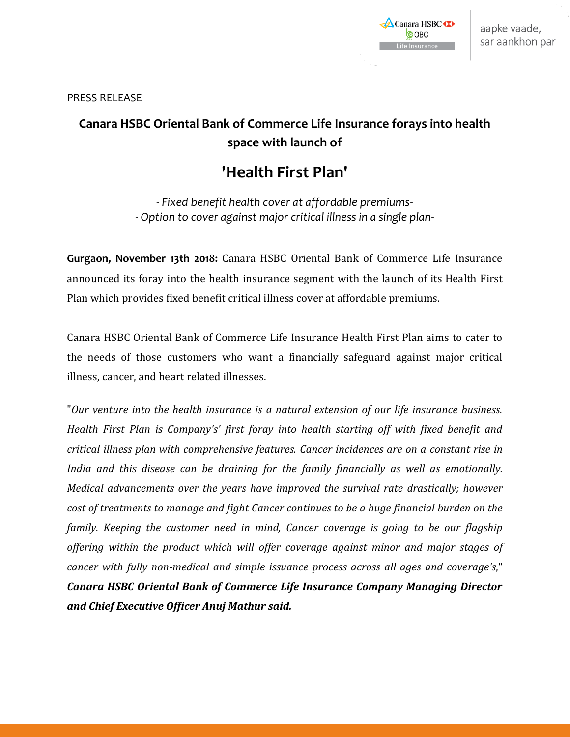

PRESS RELEASE

## **Canara HSBC Oriental Bank of Commerce Life Insurance forays into health space with launch of**

# **'Health First Plan'**

*- Fixed benefit health cover at affordable premiums- - Option to cover against major critical illness in a single plan-*

**Gurgaon, November 13th 2018:** Canara HSBC Oriental Bank of Commerce Life Insurance announced its foray into the health insurance segment with the launch of its Health First Plan which provides fixed benefit critical illness cover at affordable premiums.

Canara HSBC Oriental Bank of Commerce Life Insurance Health First Plan aims to cater to the needs of those customers who want a financially safeguard against major critical illness, cancer, and heart related illnesses.

"*Our venture into the health insurance is a natural extension of our life insurance business. Health First Plan is Company's' first foray into health starting off with fixed benefit and critical illness plan with comprehensive features. Cancer incidences are on a constant rise in India and this disease can be draining for the family financially as well as emotionally. Medical advancements over the years have improved the survival rate drastically; however cost of treatments to manage and fight Cancer continues to be a huge financial burden on the family. Keeping the customer need in mind, Cancer coverage is going to be our flagship offering within the product which will offer coverage against minor and major stages of cancer with fully non-medical and simple issuance process across all ages and coverage's*," *Canara HSBC Oriental Bank of Commerce Life Insurance Company Managing Director and Chief Executive Officer Anuj Mathur said.*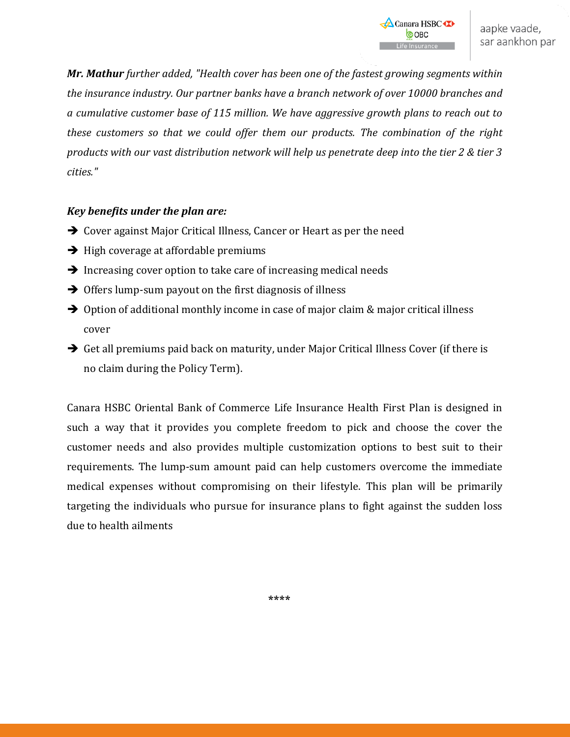*Mr. Mathur further added, "Health cover has been one of the fastest growing segments within the insurance industry. Our partner banks have a branch network of over 10000 branches and a cumulative customer base of 115 million. We have aggressive growth plans to reach out to these customers so that we could offer them our products. The combination of the right products with our vast distribution network will help us penetrate deep into the tier 2 & tier 3 cities."*

### *Key benefits under the plan are:*

- **→** Cover against Major Critical Illness, Cancer or Heart as per the need
- $\rightarrow$  High coverage at affordable premiums
- $\rightarrow$  Increasing cover option to take care of increasing medical needs
- $\rightarrow$  Offers lump-sum payout on the first diagnosis of illness
- $\rightarrow$  Option of additional monthly income in case of major claim & major critical illness cover
- Get all premiums paid back on maturity, under Major Critical Illness Cover (if there is no claim during the Policy Term).

Canara HSBC Oriental Bank of Commerce Life Insurance Health First Plan is designed in such a way that it provides you complete freedom to pick and choose the cover the customer needs and also provides multiple customization options to best suit to their requirements. The lump-sum amount paid can help customers overcome the immediate medical expenses without compromising on their lifestyle. This plan will be primarily targeting the individuals who pursue for insurance plans to fight against the sudden loss due to health ailments